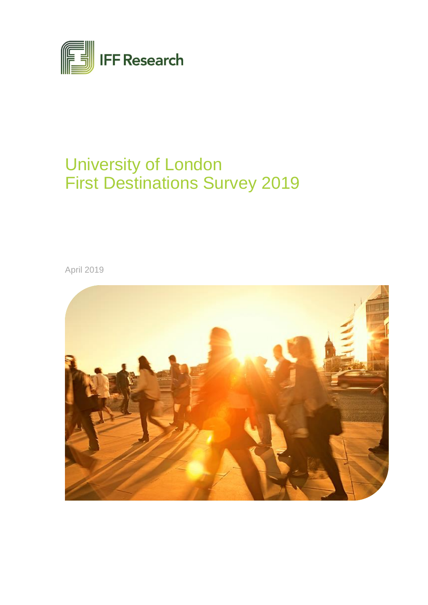

# University of London First Destinations Survey 2019

April 2019

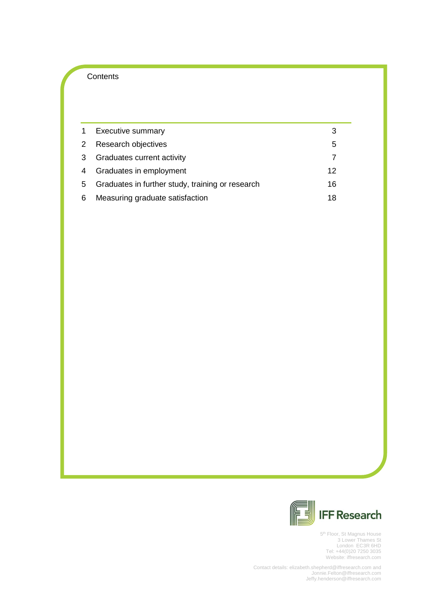# **Contents**

| 1              | <b>Executive summary</b>                         |    |
|----------------|--------------------------------------------------|----|
| $2^{\circ}$    | Research objectives                              | 5  |
| 3              | <b>Graduates current activity</b>                |    |
| $\overline{4}$ | Graduates in employment                          | 12 |
| 5              | Graduates in further study, training or research | 16 |
| 6              | Measuring graduate satisfaction                  | 18 |



5<sup>th</sup> Floor, St Magnus House 3 Lower Thames St London EC3R 6HD Tel: +44(0)20 7250 3035 Website: iffresearch.com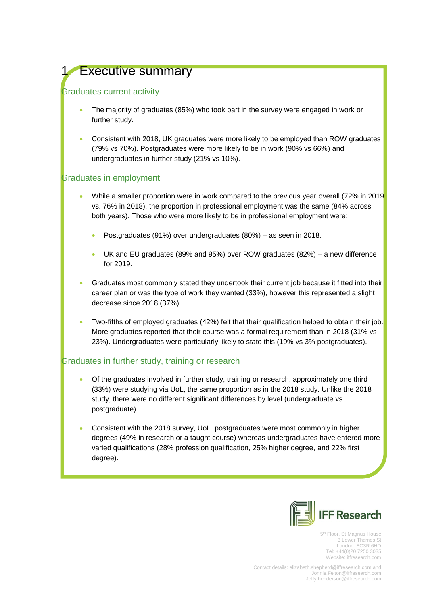# <span id="page-2-0"></span>**Executive summary**

# Graduates current activity

- The majority of graduates (85%) who took part in the survey were engaged in work or further study.
- Consistent with 2018, UK graduates were more likely to be employed than ROW graduates (79% vs 70%). Postgraduates were more likely to be in work (90% vs 66%) and undergraduates in further study (21% vs 10%).

# Graduates in employment

- While a smaller proportion were in work compared to the previous year overall (72% in 2019 vs. 76% in 2018), the proportion in professional employment was the same (84% across both years). Those who were more likely to be in professional employment were:
	- Postgraduates (91%) over undergraduates (80%) as seen in 2018.
	- UK and EU graduates (89% and 95%) over ROW graduates (82%) a new difference for 2019.
- Graduates most commonly stated they undertook their current job because it fitted into their career plan or was the type of work they wanted (33%), however this represented a slight decrease since 2018 (37%).
- Two-fifths of employed graduates (42%) felt that their qualification helped to obtain their job. More graduates reported that their course was a formal requirement than in 2018 (31% vs 23%). Undergraduates were particularly likely to state this (19% vs 3% postgraduates).

# Graduates in further study, training or research

- Of the graduates involved in further study, training or research, approximately one third (33%) were studying via UoL, the same proportion as in the 2018 study. Unlike the 2018 study, there were no different significant differences by level (undergraduate vs postgraduate).
- Consistent with the 2018 survey, UoL postgraduates were most commonly in higher degrees (49% in research or a taught course) whereas undergraduates have entered more varied qualifications (28% profession qualification, 25% higher degree, and 22% first degree).



5<sup>th</sup> Floor, St Magnus House 3 Lower Thames St London EC3R 6HD Tel: +44(0)20 7250 3035 Website: iffresearch.com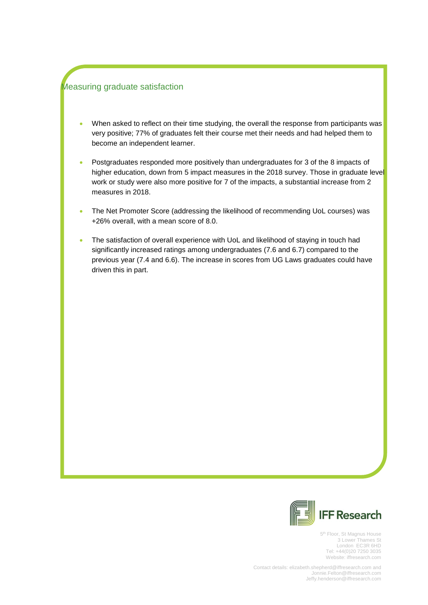# Measuring graduate satisfaction

- When asked to reflect on their time studying, the overall the response from participants was very positive; 77% of graduates felt their course met their needs and had helped them to become an independent learner.
- Postgraduates responded more positively than undergraduates for 3 of the 8 impacts of higher education, down from 5 impact measures in the 2018 survey. Those in graduate level work or study were also more positive for 7 of the impacts, a substantial increase from 2 measures in 2018.
- The Net Promoter Score (addressing the likelihood of recommending UoL courses) was +26% overall, with a mean score of 8.0.
- The satisfaction of overall experience with UoL and likelihood of staying in touch had significantly increased ratings among undergraduates (7.6 and 6.7) compared to the previous year (7.4 and 6.6). The increase in scores from UG Laws graduates could have driven this in part.



5<sup>th</sup> Floor, St Magnus House 3 Lower Thames St London EC3R 6HD Tel: +44(0)20 7250 3035 Website: iffresearch.com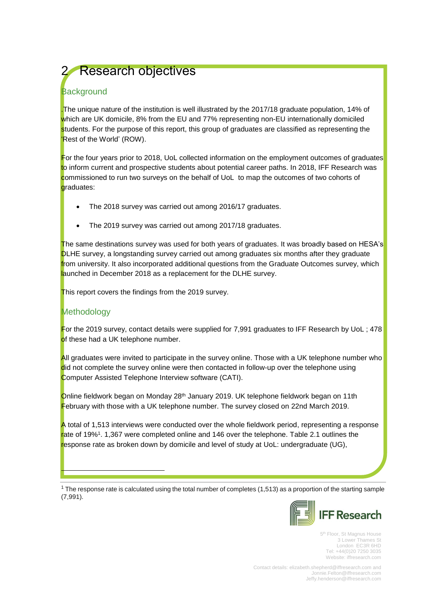# <span id="page-4-0"></span>**Research objectives**

# **Background**

.The unique nature of the institution is well illustrated by the 2017/18 graduate population, 14% of which are UK domicile, 8% from the EU and 77% representing non-EU internationally domiciled students. For the purpose of this report, this group of graduates are classified as representing the 'Rest of the World' (ROW).

For the four years prior to 2018, UoL collected information on the employment outcomes of graduates to inform current and prospective students about potential career paths. In 2018, IFF Research was commissioned to run two surveys on the behalf of UoL to map the outcomes of two cohorts of graduates:

- The 2018 survey was carried out among 2016/17 graduates.
- The 2019 survey was carried out among 2017/18 graduates.

The same destinations survey was used for both years of graduates. It was broadly based on HESA's DLHE survey, a longstanding survey carried out among graduates six months after they graduate from university. It also incorporated additional questions from the Graduate Outcomes survey, which launched in December 2018 as a replacement for the DLHE survey.

This report covers the findings from the 2019 survey.

# **Methodology**

i.

For the 2019 survey, contact details were supplied for 7,991 graduates to IFF Research by UoL; 478 of these had a UK telephone number.

All graduates were invited to participate in the survey online. Those with a UK telephone number who did not complete the survey online were then contacted in follow-up over the telephone using Computer Assisted Telephone Interview software (CATI).

Online fieldwork began on Monday 28<sup>th</sup> January 2019. UK telephone fieldwork began on 11th February with those with a UK telephone number. The survey closed on 22nd March 2019.

A total of 1,513 interviews were conducted over the whole fieldwork period, representing a response rate of 19%<sup>1</sup>. 1,367 were completed online and 146 over the telephone. Table 2.1 outlines the response rate as broken down by domicile and level of study at UoL: undergraduate (UG),

<sup>1</sup> The response rate is calculated using the total number of completes (1,513) as a proportion of the starting sample (7,991).



5<sup>th</sup> Floor, St Magnus House 3 Lower Thames St London EC3R 6HD Tel: +44(0)20 7250 3035 Website: iffresearch.com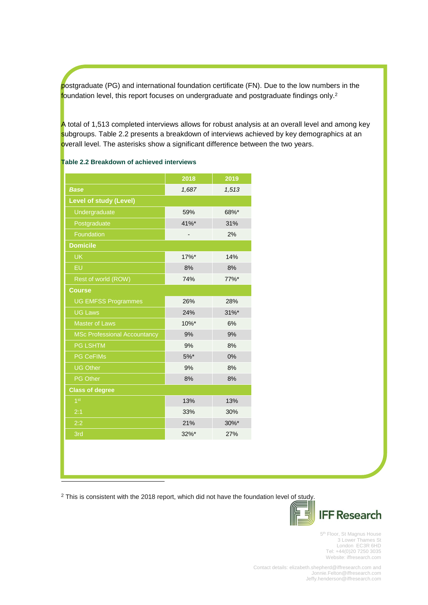postgraduate (PG) and international foundation certificate (FN). Due to the low numbers in the foundation level, this report focuses on undergraduate and postgraduate findings only.<sup>2</sup>

A total of 1,513 completed interviews allows for robust analysis at an overall level and among key subgroups. Table 2.2 presents a breakdown of interviews achieved by key demographics at an overall level. The asterisks show a significant difference between the two years.

### **Table 2.2 Breakdown of achieved interviews**

| 1,513<br>1,687<br><b>Base</b><br><b>Level of study (Level)</b><br>Undergraduate<br>59%<br>68%*<br>41%*<br>Postgraduate<br>31%<br>Foundation<br>2%<br><b>Domicile</b><br><b>UK</b><br>$17\%$ *<br>14% |  |  |  |  |  |  |
|------------------------------------------------------------------------------------------------------------------------------------------------------------------------------------------------------|--|--|--|--|--|--|
|                                                                                                                                                                                                      |  |  |  |  |  |  |
|                                                                                                                                                                                                      |  |  |  |  |  |  |
|                                                                                                                                                                                                      |  |  |  |  |  |  |
|                                                                                                                                                                                                      |  |  |  |  |  |  |
|                                                                                                                                                                                                      |  |  |  |  |  |  |
|                                                                                                                                                                                                      |  |  |  |  |  |  |
|                                                                                                                                                                                                      |  |  |  |  |  |  |
| EU<br>8%<br>8%                                                                                                                                                                                       |  |  |  |  |  |  |
| Rest of world (ROW)<br>77%*<br>74%                                                                                                                                                                   |  |  |  |  |  |  |
| <b>Course</b>                                                                                                                                                                                        |  |  |  |  |  |  |
| <b>UG EMFSS Programmes</b><br>26%<br>28%                                                                                                                                                             |  |  |  |  |  |  |
| <b>UG Laws</b><br>$31\%$ *<br>24%                                                                                                                                                                    |  |  |  |  |  |  |
| <b>Master of Laws</b><br>10%*<br>6%                                                                                                                                                                  |  |  |  |  |  |  |
| <b>MSc Professional Accountancy</b><br>9%<br>9%                                                                                                                                                      |  |  |  |  |  |  |
| <b>PG LSHTM</b><br>9%<br>8%                                                                                                                                                                          |  |  |  |  |  |  |
| $5%$ *<br><b>PG CeFIMs</b><br>0%                                                                                                                                                                     |  |  |  |  |  |  |
| <b>UG Other</b><br>9%<br>8%                                                                                                                                                                          |  |  |  |  |  |  |
| PG Other<br>8%<br>8%                                                                                                                                                                                 |  |  |  |  |  |  |
| <b>Class of degree</b>                                                                                                                                                                               |  |  |  |  |  |  |
| 1 <sup>st</sup><br>13%<br>13%                                                                                                                                                                        |  |  |  |  |  |  |
| 2:1<br>30%<br>33%                                                                                                                                                                                    |  |  |  |  |  |  |
| 2:2<br>21%<br>30%*                                                                                                                                                                                   |  |  |  |  |  |  |
| 3rd<br>$32\%$ *<br>27%                                                                                                                                                                               |  |  |  |  |  |  |

<sup>2</sup> This is consistent with the 2018 report, which did not have the foundation level of study.

i,



5<sup>th</sup> Floor, St Magnus House 3 Lower Thames St London EC3R 6HD Tel: +44(0)20 7250 3035 Website: iffresearch.com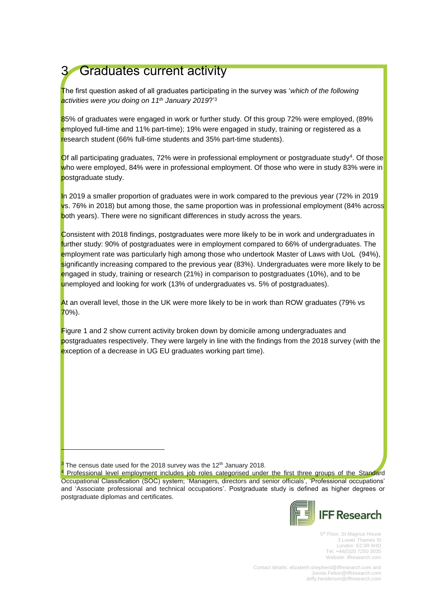# <span id="page-6-0"></span>3 Graduates current activity

The first question asked of all graduates participating in the survey was '*which of the following activities were you doing on 11 th January 2019*?'<sup>3</sup>

85% of graduates were engaged in work or further study. Of this group 72% were employed, (89% employed full-time and 11% part-time); 19% were engaged in study, training or registered as a research student (66% full-time students and 35% part-time students).

 $\overline{O}$ f all participating graduates, 72% were in professional employment or postgraduate study<sup>4</sup>. Of those who were employed, 84% were in professional employment. Of those who were in study 83% were in postgraduate study.

In 2019 a smaller proportion of graduates were in work compared to the previous year (72% in 2019 vs. 76% in 2018) but among those, the same proportion was in professional employment (84% across both years). There were no significant differences in study across the years.

Consistent with 2018 findings, postgraduates were more likely to be in work and undergraduates in further study: 90% of postgraduates were in employment compared to 66% of undergraduates. The employment rate was particularly high among those who undertook Master of Laws with UoL (94%), significantly increasing compared to the previous year (83%). Undergraduates were more likely to be engaged in study, training or research (21%) in comparison to postgraduates (10%), and to be unemployed and looking for work (13% of undergraduates vs. 5% of postgraduates).

At an overall level, those in the UK were more likely to be in work than ROW graduates (79% vs 70%).

Figure 1 and 2 show current activity broken down by domicile among undergraduates and postgraduates respectively. They were largely in line with the findings from the 2018 survey (with the exception of a decrease in UG EU graduates working part time).

i.

Professional level employment includes job roles categorised under the first three groups of the Standard Occupational Classification (SOC) system; 'Managers, directors and senior officials', 'Professional occupations' and 'Associate professional and technical occupations'. Postgraduate study is defined as higher degrees or postgraduate diplomas and certificates.



5<sup>th</sup> Floor, St Magnus House 3 Lower Thames St London EC3R 6HD Tel: +44(0)20 7250 3035 Website: iffresearch.com

The census date used for the 2018 survey was the 12<sup>th</sup> January 2018.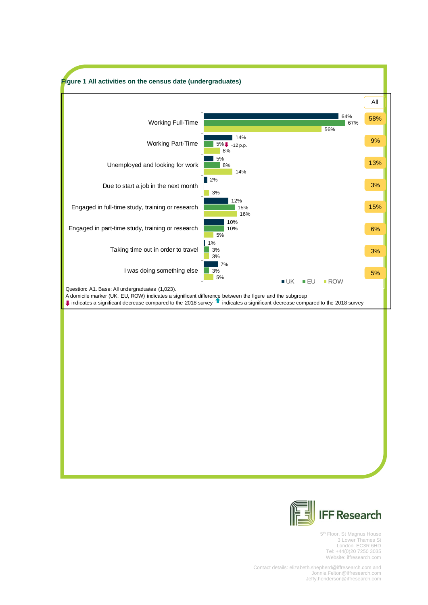



5<sup>th</sup> Floor, St Magnus House 3 Lower Thames St London EC3R 6HD Tel: +44(0)20 7250 3035 Website: iffresearch.com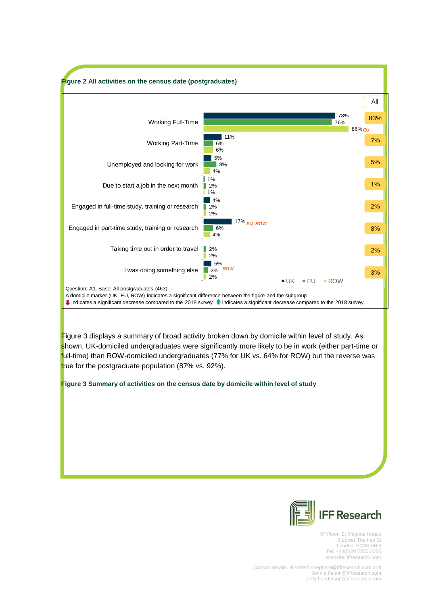

<span id="page-8-0"></span>

5<sup>th</sup> Floor, St Magnus House 3 Lower Thames St London EC3R 6HD Tel: +44(0)20 7250 3035 Website: iffresearch.com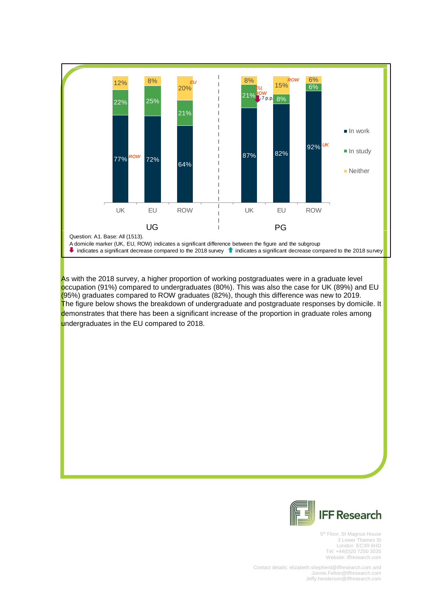

As with the 2018 survey, a higher proportion of working postgraduates were in a graduate level occupation (91%) compared to undergraduates (80%). This was also the case for UK (89%) and EU (95%) graduates compared to ROW graduates (82%), though this difference was new to 2019. The figure below shows the breakdown of undergraduate and postgraduate responses by domicile. It demonstrates that there has been a significant increase of the proportion in graduate roles among undergraduates in the EU compared to 2018.



5<sup>th</sup> Floor, St Magnus House 3 Lower Thames St London EC3R 6HD Tel: +44(0)20 7250 3035 Website: iffresearch.com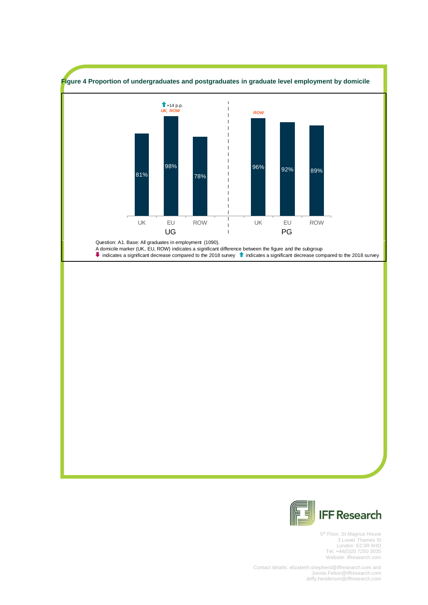<span id="page-10-0"></span>



5<sup>th</sup> Floor, St Magnus House 3 Lower Thames St London EC3R 6HD Tel: +44(0)20 7250 3035 Website: iffresearch.com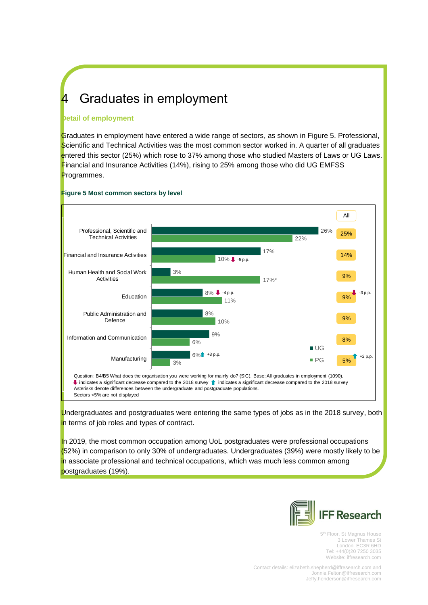# 4 Graduates in employment

### **Detail of employment**

Graduates in employment have entered a wide range of sectors, as shown in [Figure 5.](#page-11-0) Professional, Scientific and Technical Activities was the most common sector worked in. A quarter of all graduates entered this sector (25%) which rose to 37% among those who studied Masters of Laws or UG Laws. Financial and Insurance Activities (14%), rising to 25% among those who did UG EMFSS Programmes.



#### <span id="page-11-0"></span>**Figure 5 Most common sectors by level**

Undergraduates and postgraduates were entering the same types of jobs as in the 2018 survey, both in terms of job roles and types of contract.

In 2019, the most common occupation among UoL postgraduates were professional occupations (52%) in comparison to only 30% of undergraduates. Undergraduates (39%) were mostly likely to be in associate professional and technical occupations, which was much less common among postgraduates (19%).



5<sup>th</sup> Floor, St Magnus House 3 Lower Thames St London EC3R 6HD Tel: +44(0)20 7250 3035 Website: iffresearch.com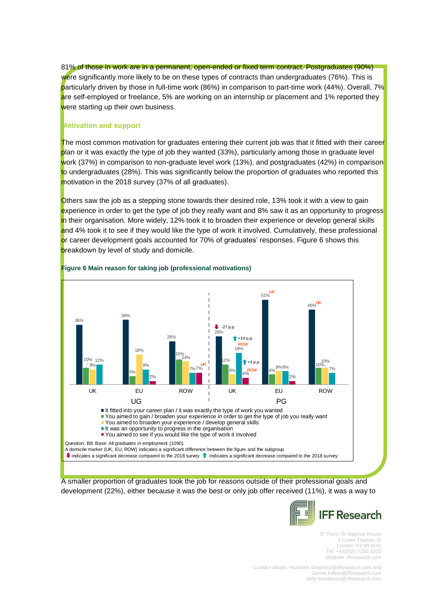81% of those in work are in a permanent, open-ended or fixed term contract. Postgraduates (90%) were significantly more likely to be on these types of contracts than undergraduates (76%). This is particularly driven by those in full-time work (86%) in comparison to part-time work (44%). Overall, 7% are self-employed or freelance, 5% are working on an internship or placement and 1% reported they were starting up their own business.

#### **Motivation and support**

The most common motivation for graduates entering their current job was that it fitted with their career plan or it was exactly the type of job they wanted (33%), particularly among those in graduate level work (37%) in comparison to non-graduate level work (13%), and postgraduates (42%) in comparison to undergraduates (28%). This was significantly below the proportion of graduates who reported this motivation in the 2018 survey (37% of all graduates).

Others saw the job as a stepping stone towards their desired role, 13% took it with a view to gain experience in order to get the type of job they really want and 8% saw it as an opportunity to progress in their organisation. More widely, 12% took it to broaden their experience or develop general skills and 4% took it to see if they would like the type of work it involved. Cumulatively, these professional or career development goals accounted for 70% of graduates' responses. [Figure 6](#page-12-0) shows this breakdown by level of study and domicile.



#### <span id="page-12-0"></span>**Figure 6 Main reason for taking job (professional motivations)**

A smaller proportion of graduates took the job for reasons outside of their professional goals and development (22%), either because it was the best or only job offer received (11%), it was a way to



5<sup>th</sup> Floor, St Magnus House 3 Lower Thames St London EC3R 6HD Tel: +44(0)20 7250 3035 Website: iffresearch.com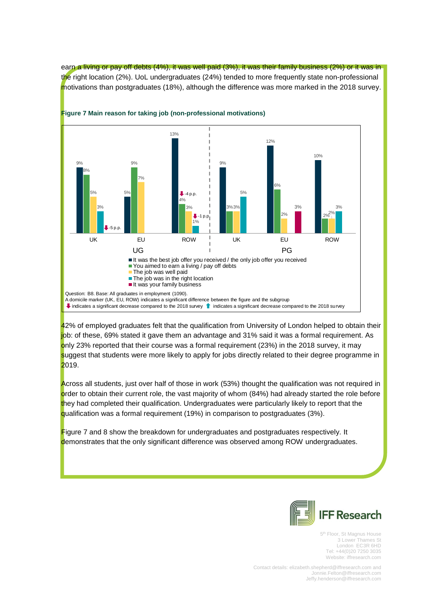earn a living or pay off debts (4%), it was well paid (3%), it was their family business (2%) or it was in the right location (2%). UoL undergraduates (24%) tended to more frequently state non-professional motivations than postgraduates (18%), although the difference was more marked in the 2018 survey.



**Figure 7 Main reason for taking job (non-professional motivations)**

42% of employed graduates felt that the qualification from University of London helped to obtain their job: of these, 69% stated it gave them an advantage and 31% said it was a formal requirement. As only 23% reported that their course was a formal requirement (23%) in the 2018 survey, it may suggest that students were more likely to apply for jobs directly related to their degree programme in 2019.

Across all students, just over half of those in work (53%) thought the qualification was not required in order to obtain their current role, the vast majority of whom (84%) had already started the role before they had completed their qualification. Undergraduates were particularly likely to report that the qualification was a formal requirement (19%) in comparison to postgraduates (3%).

Figure 7 and 8 show the breakdown for undergraduates and postgraduates respectively. It demonstrates that the only significant difference was observed among ROW undergraduates.



5<sup>th</sup> Floor, St Magnus House 3 Lower Thames St London EC3R 6HD Tel: +44(0)20 7250 3035 Website: iffresearch.com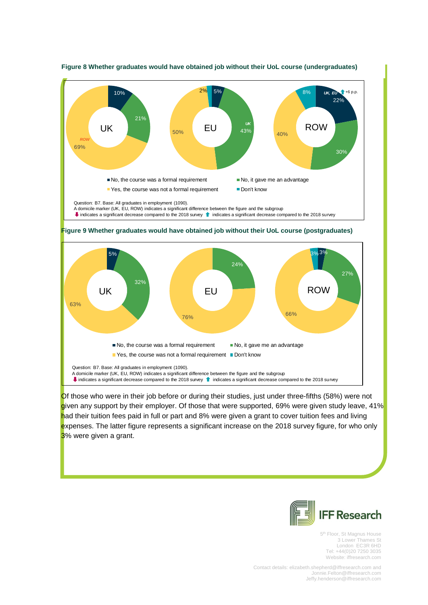

#### **Figure 8 Whether graduates would have obtained job without their UoL course (undergraduates)**





Of those who were in their job before or during their studies, just under three-fifths (58%) were not given any support by their employer. Of those that were supported, 69% were given study leave, 41% had their tuition fees paid in full or part and 8% were given a grant to cover tuition fees and living expenses. The latter figure represents a significant increase on the 2018 survey figure, for who only 3% were given a grant.



5<sup>th</sup> Floor, St Magnus House 3 Lower Thames St London EC3R 6HD Tel: +44(0)20 7250 3035 Website: iffresearch.com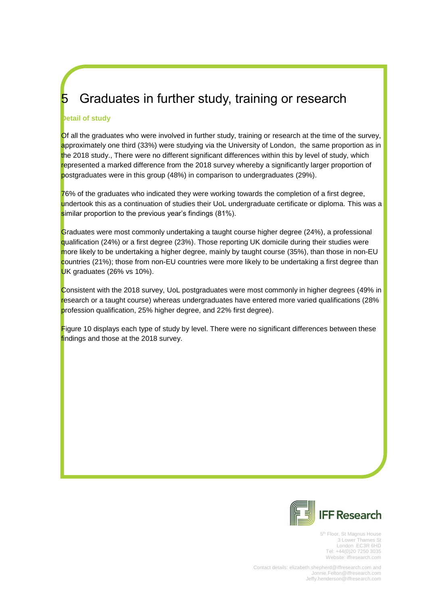# <span id="page-15-0"></span>5 Graduates in further study, training or research

### **Detail of study**

Of all the graduates who were involved in further study, training or research at the time of the survey, approximately one third (33%) were studying via the University of London, the same proportion as in the 2018 study., There were no different significant differences within this by level of study, which represented a marked difference from the 2018 survey whereby a significantly larger proportion of postgraduates were in this group (48%) in comparison to undergraduates (29%).

76% of the graduates who indicated they were working towards the completion of a first degree, undertook this as a continuation of studies their UoL undergraduate certificate or diploma. This was a similar proportion to the previous year's findings (81%).

Graduates were most commonly undertaking a taught course higher degree (24%), a professional qualification (24%) or a first degree (23%). Those reporting UK domicile during their studies were more likely to be undertaking a higher degree, mainly by taught course (35%), than those in non-EU countries (21%); those from non-EU countries were more likely to be undertaking a first degree than UK graduates (26% vs 10%).

Consistent with the 2018 survey, UoL postgraduates were most commonly in higher degrees (49% in research or a taught course) whereas undergraduates have entered more varied qualifications (28% profession qualification, 25% higher degree, and 22% first degree).

[Figure](#page-16-0) 10 displays each type of study by level. There were no significant differences between these findings and those at the 2018 survey.



5<sup>th</sup> Floor, St Magnus House 3 Lower Thames St London EC3R 6HD Tel: +44(0)20 7250 3035 Website: iffresearch.com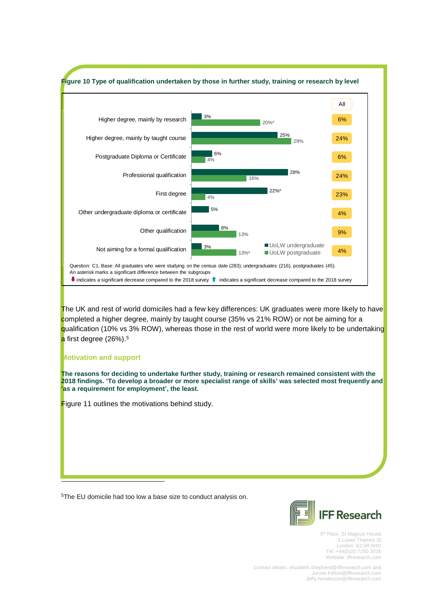<span id="page-16-0"></span>

<sup>5</sup>The EU domicile had too low a base size to conduct analysis on.

i,



5<sup>th</sup> Floor, St Magnus House 3 Lower Thames St London EC3R 6HD Tel: +44(0)20 7250 3035 Website: iffresearch.com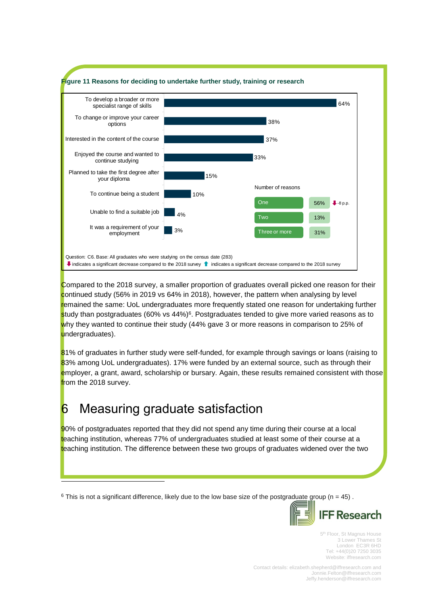<span id="page-17-1"></span>

Compared to the 2018 survey, a smaller proportion of graduates overall picked one reason for their continued study (56% in 2019 vs 64% in 2018), however, the pattern when analysing by level remained the same: UoL undergraduates more frequently stated one reason for undertaking further study than postgraduates (60% vs 44%)<sup>6</sup>. Postgraduates tended to give more varied reasons as to why they wanted to continue their study (44% gave 3 or more reasons in comparison to 25% of undergraduates).

81% of graduates in further study were self-funded, for example through savings or loans (raising to 83% among UoL undergraduates). 17% were funded by an external source, such as through their employer, a grant, award, scholarship or bursary. Again, these results remained consistent with those from the 2018 survey.

# <span id="page-17-0"></span>**6** Measuring graduate satisfaction

i,

90% of postgraduates reported that they did not spend any time during their course at a local teaching institution, whereas 77% of undergraduates studied at least some of their course at a teaching institution. The difference between these two groups of graduates widened over the two

 $6$  This is not a significant difference, likely due to the low base size of the postgraduate group ( $n = 45$ ).



5<sup>th</sup> Floor, St Magnus House 3 Lower Thames St London EC3R 6HD Tel: +44(0)20 7250 3035 Website: iffresearch.com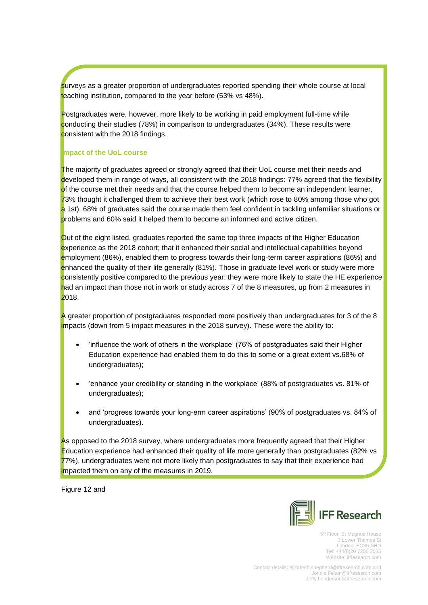surveys as a greater proportion of undergraduates reported spending their whole course at local teaching institution, compared to the year before (53% vs 48%).

Postgraduates were, however, more likely to be working in paid employment full-time while conducting their studies (78%) in comparison to undergraduates (34%). These results were consistent with the 2018 findings.

### **Impact of the UoL course**

The majority of graduates agreed or strongly agreed that their UoL course met their needs and developed them in range of ways, all consistent with the 2018 findings: 77% agreed that the flexibility of the course met their needs and that the course helped them to become an independent learner, 73% thought it challenged them to achieve their best work (which rose to 80% among those who got a 1st). 68% of graduates said the course made them feel confident in tackling unfamiliar situations or problems and 60% said it helped them to become an informed and active citizen.

Out of the eight listed, graduates reported the same top three impacts of the Higher Education experience as the 2018 cohort; that it enhanced their social and intellectual capabilities beyond employment (86%), enabled them to progress towards their long-term career aspirations (86%) and enhanced the quality of their life generally (81%). Those in graduate level work or study were more consistently positive compared to the previous year: they were more likely to state the HE experience had an impact than those not in work or study across 7 of the 8 measures, up from 2 measures in 2018.

A greater proportion of postgraduates responded more positively than undergraduates for 3 of the 8 impacts (down from 5 impact measures in the 2018 survey). These were the ability to:

- 'influence the work of others in the workplace' (76% of postgraduates said their Higher Education experience had enabled them to do this to some or a great extent vs.68% of undergraduates);
- 'enhance your credibility or standing in the workplace' (88% of postgraduates vs. 81% of undergraduates);
- and 'progress towards your long-erm career aspirations' (90% of postgraduates vs. 84% of undergraduates).

As opposed to the 2018 survey, where undergraduates more frequently agreed that their Higher Education experience had enhanced their quality of life more generally than postgraduates (82% vs 77%), undergraduates were not more likely than postgraduates to say that their experience had impacted them on any of the measures in 2019.

[Figure 12](#page-19-0) and



5<sup>th</sup> Floor, St Magnus House 3 Lower Thames St London EC3R 6HD Tel: +44(0)20 7250 3035 Website: iffresearch.com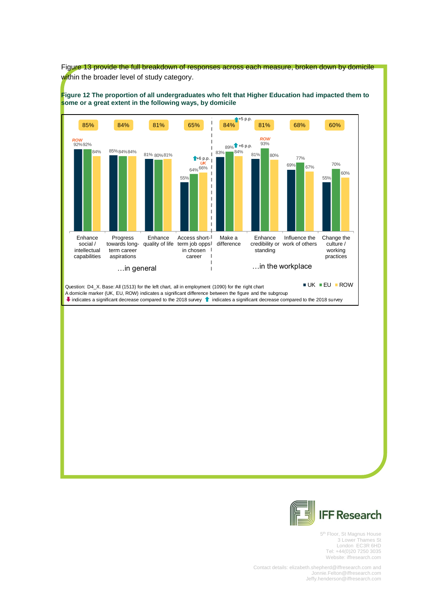<span id="page-19-0"></span>



5<sup>th</sup> Floor, St Magnus House 3 Lower Thames St London EC3R 6HD Tel: +44(0)20 7250 3035 Website: iffresearch.com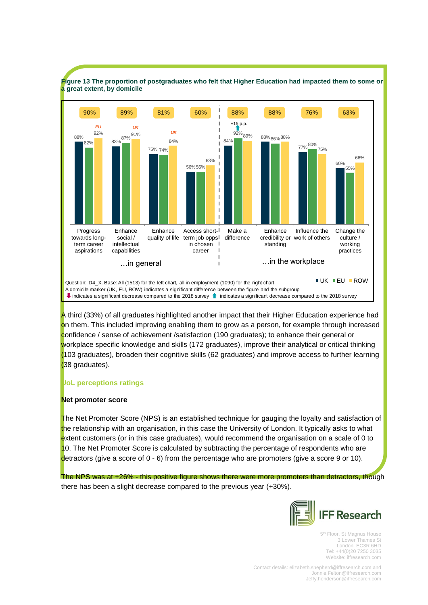

<span id="page-20-0"></span>**Figure 13 The proportion of postgraduates who felt that Higher Education had impacted them to some or a great extent, by domicile**

A third (33%) of all graduates highlighted another impact that their Higher Education experience had on them. This included improving enabling them to grow as a person, for example through increased confidence / sense of achievement /satisfaction (190 graduates); to enhance their general or workplace specific knowledge and skills (172 graduates), improve their analytical or critical thinking (103 graduates), broaden their cognitive skills (62 graduates) and improve access to further learning (38 graduates).

### **UoL perceptions ratings**

#### **Net promoter score**

The Net Promoter Score (NPS) is an established technique for gauging the loyalty and satisfaction of the relationship with an organisation, in this case the University of London. It typically asks to what extent customers (or in this case graduates), would recommend the organisation on a scale of 0 to 10. The Net Promoter Score is calculated by subtracting the percentage of respondents who are detractors (give a score of 0 - 6) from the percentage who are promoters (give a score 9 or 10).

The NPS was at +26% - this positive figure shows there were more promoters than detractors, though there has been a slight decrease compared to the previous year (+30%).



5<sup>th</sup> Floor, St Magnus House 3 Lower Thames St London EC3R 6HD Tel: +44(0)20 7250 3035 Website: iffresearch.com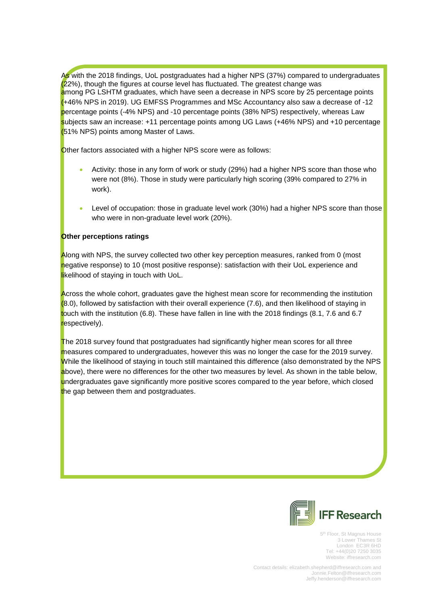As with the 2018 findings, UoL postgraduates had a higher NPS (37%) compared to undergraduates (22%), though the figures at course level has fluctuated. The greatest change was among PG LSHTM graduates, which have seen a decrease in NPS score by 25 percentage points (+46% NPS in 2019). UG EMFSS Programmes and MSc Accountancy also saw a decrease of -12 percentage points (-4% NPS) and -10 percentage points (38% NPS) respectively, whereas Law subjects saw an increase: +11 percentage points among UG Laws (+46% NPS) and +10 percentage (51% NPS) points among Master of Laws.

Other factors associated with a higher NPS score were as follows:

- Activity: those in any form of work or study (29%) had a higher NPS score than those who were not (8%). Those in study were particularly high scoring (39% compared to 27% in work).
- Level of occupation: those in graduate level work (30%) had a higher NPS score than those who were in non-graduate level work (20%).

# **Other perceptions ratings**

Along with NPS, the survey collected two other key perception measures, ranked from 0 (most negative response) to 10 (most positive response): satisfaction with their UoL experience and likelihood of staying in touch with UoL.

Across the whole cohort, graduates gave the highest mean score for recommending the institution (8.0), followed by satisfaction with their overall experience (7.6), and then likelihood of staying in touch with the institution (6.8). These have fallen in line with the 2018 findings (8.1, 7.6 and 6.7 respectively).

The 2018 survey found that postgraduates had significantly higher mean scores for all three measures compared to undergraduates, however this was no longer the case for the 2019 survey. While the likelihood of staying in touch still maintained this difference (also demonstrated by the NPS above), there were no differences for the other two measures by level. As shown in the table below, undergraduates gave significantly more positive scores compared to the year before, which closed the gap between them and postgraduates.



5<sup>th</sup> Floor, St Magnus House 3 Lower Thames St London EC3R 6HD Tel: +44(0)20 7250 3035 Website: iffresearch.com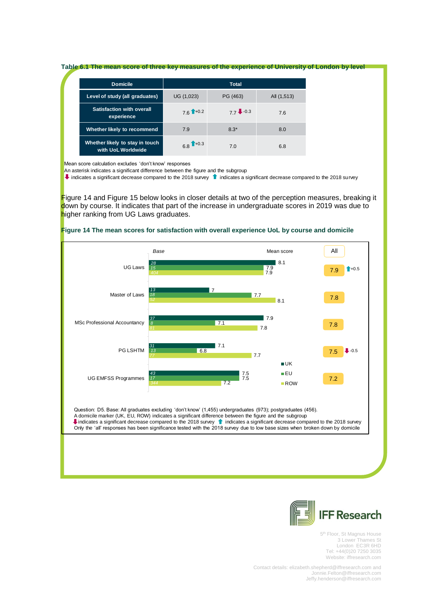#### **Table 6.1 The mean score of three key measures of the experience of University of London by level**

| <b>Domicile</b>                                       | <b>Total</b>           |            |             |
|-------------------------------------------------------|------------------------|------------|-------------|
| Level of study (all graduates)                        | UG (1,023)             | PG (463)   | All (1,513) |
| <b>Satisfaction with overall</b><br>experience        | $76$ <sup>1+0.2</sup>  | $77 - 0.3$ | 7.6         |
| Whether likely to recommend                           | 7.9                    | $8.3*$     | 8.0         |
| Whether likely to stay in touch<br>with UoL Worldwide | $6.8$ <sup>1+0.3</sup> | 7.0        | 6.8         |

Mean score calculation excludes 'don't know' responses

An asterisk indicates a significant difference between the figure and the subgroup

Indicates a significant decrease compared to the 2018 survey indicates a significant decrease compared to the 2018 survey

[Figure 14](#page-22-0) and [Figure 15](#page-23-0) below looks in closer details at two of the perception measures, breaking it down by course. It indicates that part of the increase in undergraduate scores in 2019 was due to higher ranking from UG Laws graduates.



#### <span id="page-22-0"></span>**Figure 14 The mean scores for satisfaction with overall experience UoL by course and domicile**



5<sup>th</sup> Floor, St Magnus House 3 Lower Thames St London EC3R 6HD Tel: +44(0)20 7250 3035 Website: iffresearch.com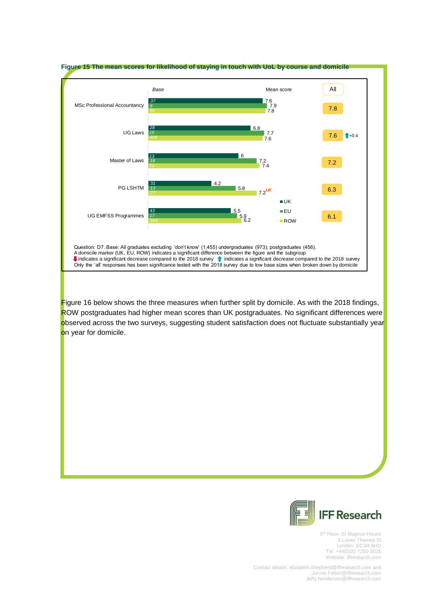<span id="page-23-0"></span>

[Figure](#page-24-0) 16 below shows the three measures when further split by domicile. As with the 2018 findings, ROW postgraduates had higher mean scores than UK postgraduates. No significant differences were observed across the two surveys, suggesting student satisfaction does not fluctuate substantially year on year for domicile.



5<sup>th</sup> Floor, St Magnus House 3 Lower Thames St London EC3R 6HD Tel: +44(0)20 7250 3035 Website: iffresearch.com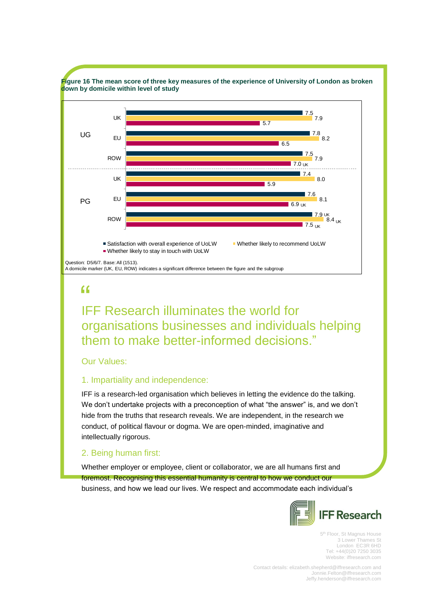<span id="page-24-0"></span>

IFF Research illuminates the world for "organisations businesses and individuals helping them to make better-informed decisions."

### Our Values:

### 1. Impartiality and independence:

IFF is a research-led organisation which believes in letting the evidence do the talking. We don't undertake projects with a preconception of what "the answer" is, and we don't hide from the truths that research reveals. We are independent, in the research we conduct, of political flavour or dogma. We are open-minded, imaginative and intellectually rigorous.

# 2. Being human first:

Whether employer or employee, client or collaborator, we are all humans first and foremost. Recognising this essential humanity is central to how we conduct our business, and how we lead our lives. We respect and accommodate each individual's



5<sup>th</sup> Floor, St Magnus House 3 Lower Thames St London EC3R 6HD Tel: +44(0)20 7250 3035 Website: iffresearch.com